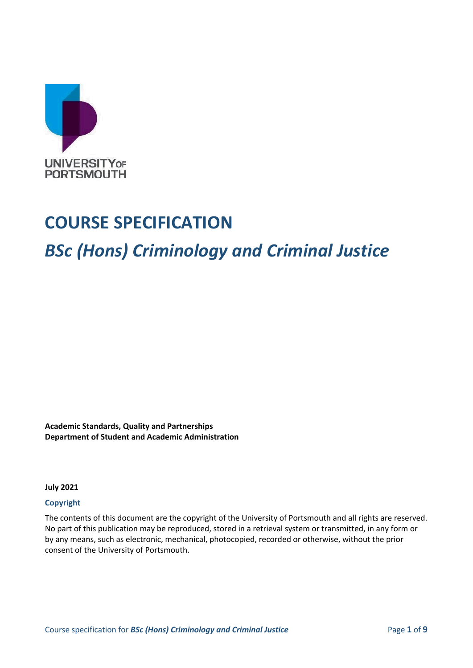

# **COURSE SPECIFICATION**

# *BSc (Hons) Criminology and Criminal Justice*

**Academic Standards, Quality and Partnerships Department of Student and Academic Administration**

**July 2021**

#### **Copyright**

The contents of this document are the copyright of the University of Portsmouth and all rights are reserved. No part of this publication may be reproduced, stored in a retrieval system or transmitted, in any form or by any means, such as electronic, mechanical, photocopied, recorded or otherwise, without the prior consent of the University of Portsmouth.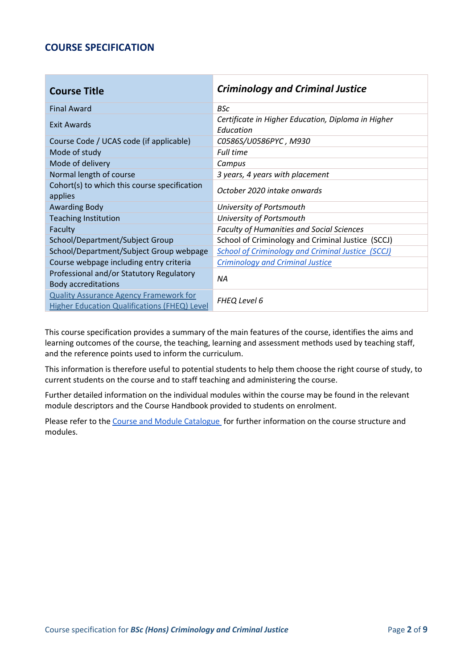## **COURSE SPECIFICATION**

| <b>Course Title</b>                                                                           | <b>Criminology and Criminal Justice</b>                         |
|-----------------------------------------------------------------------------------------------|-----------------------------------------------------------------|
| <b>Final Award</b>                                                                            | <b>BSc</b>                                                      |
| Exit Awards                                                                                   | Certificate in Higher Education, Diploma in Higher<br>Education |
| Course Code / UCAS code (if applicable)                                                       | C0586S/U0586PYC, M930                                           |
| Mode of study                                                                                 | <b>Full time</b>                                                |
| Mode of delivery                                                                              | Campus                                                          |
| Normal length of course                                                                       | 3 years, 4 years with placement                                 |
| Cohort(s) to which this course specification<br>applies                                       | October 2020 intake onwards                                     |
| <b>Awarding Body</b>                                                                          | University of Portsmouth                                        |
| <b>Teaching Institution</b>                                                                   | University of Portsmouth                                        |
| Faculty                                                                                       | <b>Faculty of Humanities and Social Sciences</b>                |
| School/Department/Subject Group                                                               | School of Criminology and Criminal Justice (SCCJ)               |
| School/Department/Subject Group webpage                                                       | <b>School of Criminology and Criminal Justice (SCCJ)</b>        |
| Course webpage including entry criteria                                                       | <b>Criminology and Criminal Justice</b>                         |
| Professional and/or Statutory Regulatory<br><b>Body accreditations</b>                        | ΝA                                                              |
| <b>Quality Assurance Agency Framework for</b><br>Higher Education Qualifications (FHEQ) Level | FHEQ Level 6                                                    |

This course specification provides a summary of the main features of the course, identifies the aims and learning outcomes of the course, the teaching, learning and assessment methods used by teaching staff, and the reference points used to inform the curriculum.

This information is therefore useful to potential students to help them choose the right course of study, to current students on the course and to staff teaching and administering the course.

Further detailed information on the individual modules within the course may be found in the relevant module descriptors and the Course Handbook provided to students on enrolment.

Please refer to the [Course and Module Catalogue](https://course-module-catalog.port.ac.uk/#/welcome) for further information on the course structure and modules.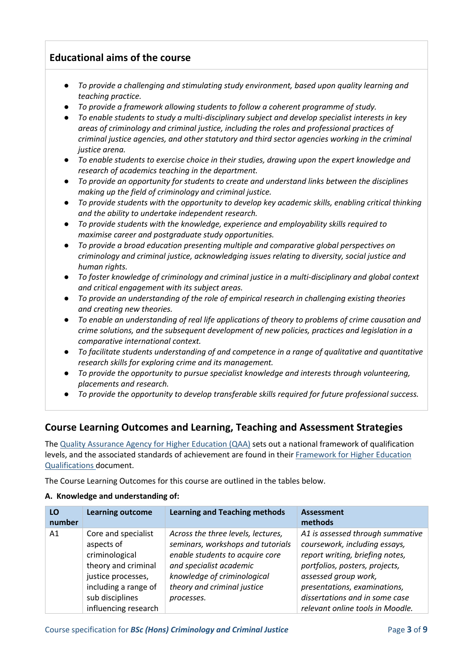## **Educational aims of the course**

- *To provide a challenging and stimulating study environment, based upon quality learning and teaching practice.*
- *To provide a framework allowing students to follow a coherent programme of study.*
- *To enable students to study a multi-disciplinary subject and develop specialist interests in key areas of criminology and criminal justice, including the roles and professional practices of criminal justice agencies, and other statutory and third sector agencies working in the criminal justice arena.*
- *To enable students to exercise choice in their studies, drawing upon the expert knowledge and research of academics teaching in the department.*
- *To provide an opportunity for students to create and understand links between the disciplines making up the field of criminology and criminal justice.*
- *To provide students with the opportunity to develop key academic skills, enabling critical thinking and the ability to undertake independent research.*
- *To provide students with the knowledge, experience and employability skills required to maximise career and postgraduate study opportunities.*
- *To provide a broad education presenting multiple and comparative global perspectives on criminology and criminal justice, acknowledging issues relating to diversity, social justice and human rights.*
- *To foster knowledge of criminology and criminal justice in a multi-disciplinary and global context and critical engagement with its subject areas.*
- *To provide an understanding of the role of empirical research in challenging existing theories and creating new theories.*
- *To enable an understanding of real life applications of theory to problems of crime causation and crime solutions, and the subsequent development of new policies, practices and legislation in a comparative international context.*
- *To facilitate students understanding of and competence in a range of qualitative and quantitative research skills for exploring crime and its management.*
- *To provide the opportunity to pursue specialist knowledge and interests through volunteering, placements and research.*
- *To provide the opportunity to develop transferable skills required for future professional success.*

## **Course Learning Outcomes and Learning, Teaching and Assessment Strategies**

The [Quality Assurance Agency for Higher Education \(QAA\)](http://www.qaa.ac.uk/en) sets out a national framework of qualification levels, and the associated standards of achievement are found in their [Framework for Higher Education](https://www.qaa.ac.uk/docs/qaa/quality-code/qualifications-frameworks.pdf?sfvrsn=170af781_16)  [Qualifications](https://www.qaa.ac.uk/docs/qaa/quality-code/qualifications-frameworks.pdf?sfvrsn=170af781_16) document.

The Course Learning Outcomes for this course are outlined in the tables below.

#### **A. Knowledge and understanding of:**

| LO<br>number | <b>Learning outcome</b>                                                                                                                                             | <b>Learning and Teaching methods</b>                                                                                                                                                                              | <b>Assessment</b><br>methods                                                                                                                                                                                                                                         |
|--------------|---------------------------------------------------------------------------------------------------------------------------------------------------------------------|-------------------------------------------------------------------------------------------------------------------------------------------------------------------------------------------------------------------|----------------------------------------------------------------------------------------------------------------------------------------------------------------------------------------------------------------------------------------------------------------------|
| A1           | Core and specialist<br>aspects of<br>criminological<br>theory and criminal<br>justice processes,<br>including a range of<br>sub disciplines<br>influencing research | Across the three levels, lectures,<br>seminars, workshops and tutorials<br>enable students to acquire core<br>and specialist academic<br>knowledge of criminological<br>theory and criminal justice<br>processes. | A1 is assessed through summative<br>coursework, including essays,<br>report writing, briefing notes,<br>portfolios, posters, projects,<br>assessed group work,<br>presentations, examinations,<br>dissertations and in some case<br>relevant online tools in Moodle. |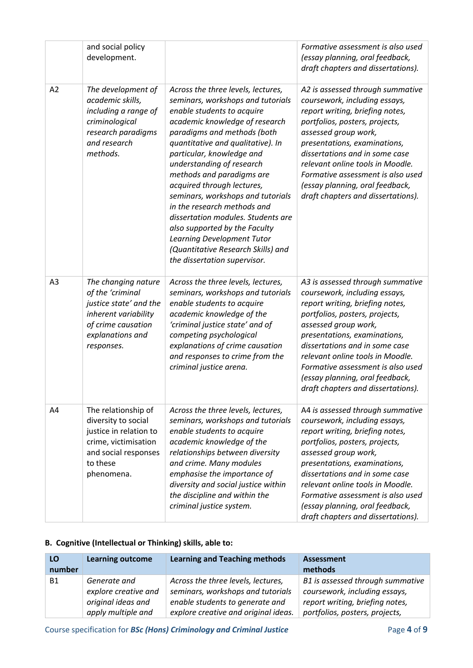|                | and social policy<br>development.                                                                                                                 |                                                                                                                                                                                                                                                                                                                                                                                                                                                                                                                                                                                 | Formative assessment is also used<br>(essay planning, oral feedback,<br>draft chapters and dissertations).                                                                                                                                                                                                                                                                         |
|----------------|---------------------------------------------------------------------------------------------------------------------------------------------------|---------------------------------------------------------------------------------------------------------------------------------------------------------------------------------------------------------------------------------------------------------------------------------------------------------------------------------------------------------------------------------------------------------------------------------------------------------------------------------------------------------------------------------------------------------------------------------|------------------------------------------------------------------------------------------------------------------------------------------------------------------------------------------------------------------------------------------------------------------------------------------------------------------------------------------------------------------------------------|
| A2             | The development of<br>academic skills,<br>including a range of<br>criminological<br>research paradigms<br>and research<br>methods.                | Across the three levels, lectures,<br>seminars, workshops and tutorials<br>enable students to acquire<br>academic knowledge of research<br>paradigms and methods (both<br>quantitative and qualitative). In<br>particular, knowledge and<br>understanding of research<br>methods and paradigms are<br>acquired through lectures,<br>seminars, workshops and tutorials<br>in the research methods and<br>dissertation modules. Students are<br>also supported by the Faculty<br>Learning Development Tutor<br>(Quantitative Research Skills) and<br>the dissertation supervisor. | A2 is assessed through summative<br>coursework, including essays,<br>report writing, briefing notes,<br>portfolios, posters, projects,<br>assessed group work,<br>presentations, examinations,<br>dissertations and in some case<br>relevant online tools in Moodle.<br>Formative assessment is also used<br>(essay planning, oral feedback,<br>draft chapters and dissertations). |
| A <sub>3</sub> | The changing nature<br>of the 'criminal<br>justice state' and the<br>inherent variability<br>of crime causation<br>explanations and<br>responses. | Across the three levels, lectures,<br>seminars, workshops and tutorials<br>enable students to acquire<br>academic knowledge of the<br>'criminal justice state' and of<br>competing psychological<br>explanations of crime causation<br>and responses to crime from the<br>criminal justice arena.                                                                                                                                                                                                                                                                               | A3 is assessed through summative<br>coursework, including essays,<br>report writing, briefing notes,<br>portfolios, posters, projects,<br>assessed group work,<br>presentations, examinations,<br>dissertations and in some case<br>relevant online tools in Moodle.<br>Formative assessment is also used<br>(essay planning, oral feedback,<br>draft chapters and dissertations). |
| A4             | The relationship of<br>diversity to social<br>justice in relation to<br>crime, victimisation<br>and social responses<br>to these<br>phenomena.    | Across the three levels, lectures,<br>seminars, workshops and tutorials<br>enable students to acquire<br>academic knowledge of the<br>relationships between diversity<br>and crime. Many modules<br>emphasise the importance of<br>diversity and social justice within<br>the discipline and within the<br>criminal justice system.                                                                                                                                                                                                                                             | A4 is assessed through summative<br>coursework, including essays,<br>report writing, briefing notes,<br>portfolios, posters, projects,<br>assessed group work,<br>presentations, examinations,<br>dissertations and in some case<br>relevant online tools in Moodle.<br>Formative assessment is also used<br>(essay planning, oral feedback,<br>draft chapters and dissertations). |

#### **B. Cognitive (Intellectual or Thinking) skills, able to:**

| LO<br>number | <b>Learning outcome</b> | <b>Learning and Teaching methods</b> | <b>Assessment</b><br>methods     |
|--------------|-------------------------|--------------------------------------|----------------------------------|
| B1           | Generate and            | Across the three levels, lectures,   | B1 is assessed through summative |
|              | explore creative and    | seminars, workshops and tutorials    | coursework, including essays,    |
|              | original ideas and      | enable students to generate and      | report writing, briefing notes,  |
|              | apply multiple and      | explore creative and original ideas. | portfolios, posters, projects,   |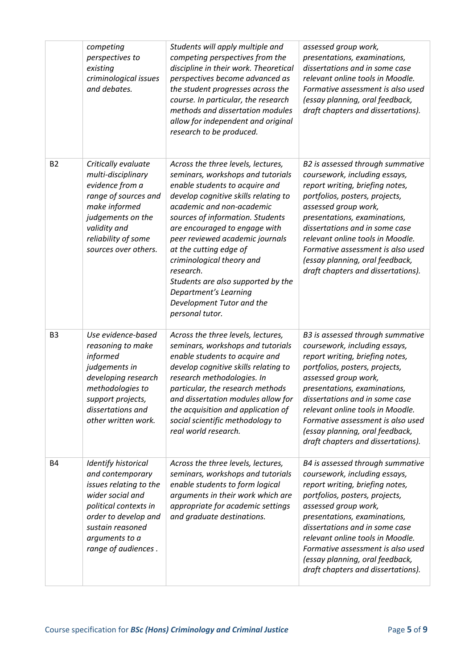|                | competing<br>perspectives to<br>existing<br>criminological issues<br>and debates.                                                                                                                   | Students will apply multiple and<br>competing perspectives from the<br>discipline in their work. Theoretical<br>perspectives become advanced as<br>the student progresses across the<br>course. In particular, the research<br>methods and dissertation modules<br>allow for independent and original<br>research to be produced.                                                                                                                                         | assessed group work,<br>presentations, examinations,<br>dissertations and in some case<br>relevant online tools in Moodle.<br>Formative assessment is also used<br>(essay planning, oral feedback,<br>draft chapters and dissertations).                                                                                                                                           |
|----------------|-----------------------------------------------------------------------------------------------------------------------------------------------------------------------------------------------------|---------------------------------------------------------------------------------------------------------------------------------------------------------------------------------------------------------------------------------------------------------------------------------------------------------------------------------------------------------------------------------------------------------------------------------------------------------------------------|------------------------------------------------------------------------------------------------------------------------------------------------------------------------------------------------------------------------------------------------------------------------------------------------------------------------------------------------------------------------------------|
| <b>B2</b>      | Critically evaluate<br>multi-disciplinary<br>evidence from a<br>range of sources and<br>make informed<br>judgements on the<br>validity and<br>reliability of some<br>sources over others.           | Across the three levels, lectures,<br>seminars, workshops and tutorials<br>enable students to acquire and<br>develop cognitive skills relating to<br>academic and non-academic<br>sources of information. Students<br>are encouraged to engage with<br>peer reviewed academic journals<br>at the cutting edge of<br>criminological theory and<br>research.<br>Students are also supported by the<br>Department's Learning<br>Development Tutor and the<br>personal tutor. | B2 is assessed through summative<br>coursework, including essays,<br>report writing, briefing notes,<br>portfolios, posters, projects,<br>assessed group work,<br>presentations, examinations,<br>dissertations and in some case<br>relevant online tools in Moodle.<br>Formative assessment is also used<br>(essay planning, oral feedback,<br>draft chapters and dissertations). |
| B <sub>3</sub> | Use evidence-based<br>reasoning to make<br>informed<br>judgements in<br>developing research<br>methodologies to<br>support projects,<br>dissertations and<br>other written work.                    | Across the three levels, lectures,<br>seminars, workshops and tutorials<br>enable students to acquire and<br>develop cognitive skills relating to<br>research methodologies. In<br>particular, the research methods<br>and dissertation modules allow for<br>the acquisition and application of<br>social scientific methodology to<br>real world research.                                                                                                               | B3 is assessed through summative<br>coursework, including essays,<br>report writing, briefing notes,<br>portfolios, posters, projects,<br>assessed group work,<br>presentations, examinations,<br>dissertations and in some case<br>relevant online tools in Moodle.<br>Formative assessment is also used<br>(essay planning, oral feedback,<br>draft chapters and dissertations). |
| <b>B4</b>      | Identify historical<br>and contemporary<br>issues relating to the<br>wider social and<br>political contexts in<br>order to develop and<br>sustain reasoned<br>arguments to a<br>range of audiences. | Across the three levels, lectures,<br>seminars, workshops and tutorials<br>enable students to form logical<br>arguments in their work which are<br>appropriate for academic settings<br>and graduate destinations.                                                                                                                                                                                                                                                        | B4 is assessed through summative<br>coursework, including essays,<br>report writing, briefing notes,<br>portfolios, posters, projects,<br>assessed group work,<br>presentations, examinations,<br>dissertations and in some case<br>relevant online tools in Moodle.<br>Formative assessment is also used<br>(essay planning, oral feedback,<br>draft chapters and dissertations). |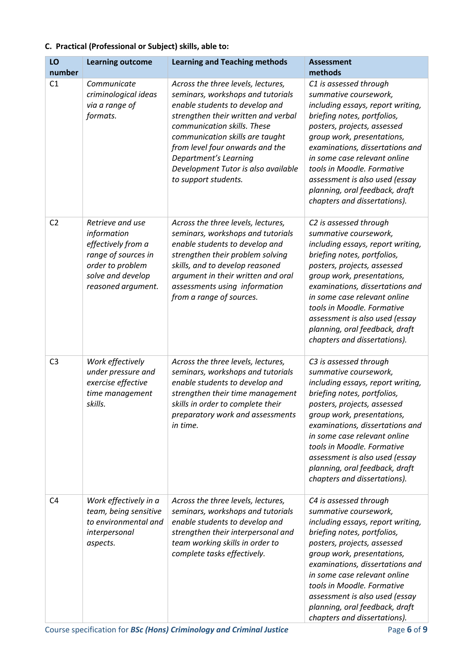#### **C. Practical (Professional or Subject) skills, able to:**

| LO             | <b>Learning outcome</b>                                                                                                                     | <b>Learning and Teaching methods</b>                                                                                                                                                                                                                                                                                                          | <b>Assessment</b>                                                                                                                                                                                                                                                                                                                                                                     |
|----------------|---------------------------------------------------------------------------------------------------------------------------------------------|-----------------------------------------------------------------------------------------------------------------------------------------------------------------------------------------------------------------------------------------------------------------------------------------------------------------------------------------------|---------------------------------------------------------------------------------------------------------------------------------------------------------------------------------------------------------------------------------------------------------------------------------------------------------------------------------------------------------------------------------------|
| number         |                                                                                                                                             |                                                                                                                                                                                                                                                                                                                                               | methods                                                                                                                                                                                                                                                                                                                                                                               |
| C <sub>1</sub> | Communicate<br>criminological ideas<br>via a range of<br>formats.                                                                           | Across the three levels, lectures,<br>seminars, workshops and tutorials<br>enable students to develop and<br>strengthen their written and verbal<br>communication skills. These<br>communication skills are taught<br>from level four onwards and the<br>Department's Learning<br>Development Tutor is also available<br>to support students. | C1 is assessed through<br>summative coursework,<br>including essays, report writing,<br>briefing notes, portfolios,<br>posters, projects, assessed<br>group work, presentations,<br>examinations, dissertations and<br>in some case relevant online<br>tools in Moodle. Formative<br>assessment is also used (essay<br>planning, oral feedback, draft<br>chapters and dissertations). |
| C <sub>2</sub> | Retrieve and use<br>information<br>effectively from a<br>range of sources in<br>order to problem<br>solve and develop<br>reasoned argument. | Across the three levels, lectures,<br>seminars, workshops and tutorials<br>enable students to develop and<br>strengthen their problem solving<br>skills, and to develop reasoned<br>argument in their written and oral<br>assessments using information<br>from a range of sources.                                                           | C2 is assessed through<br>summative coursework,<br>including essays, report writing,<br>briefing notes, portfolios,<br>posters, projects, assessed<br>group work, presentations,<br>examinations, dissertations and<br>in some case relevant online<br>tools in Moodle. Formative<br>assessment is also used (essay<br>planning, oral feedback, draft<br>chapters and dissertations). |
| C <sub>3</sub> | Work effectively<br>under pressure and<br>exercise effective<br>time management<br>skills.                                                  | Across the three levels, lectures,<br>seminars, workshops and tutorials<br>enable students to develop and<br>strengthen their time management<br>skills in order to complete their<br>preparatory work and assessments<br>in time.                                                                                                            | C3 is assessed through<br>summative coursework,<br>including essays, report writing,<br>briefing notes, portfolios,<br>posters, projects, assessed<br>group work, presentations,<br>examinations, dissertations and<br>in some case relevant online<br>tools in Moodle. Formative<br>assessment is also used (essay<br>planning, oral feedback, draft<br>chapters and dissertations). |
| C <sub>4</sub> | Work effectively in a<br>team, being sensitive<br>to environmental and<br>interpersonal<br>aspects.                                         | Across the three levels, lectures,<br>seminars, workshops and tutorials<br>enable students to develop and<br>strengthen their interpersonal and<br>team working skills in order to<br>complete tasks effectively.                                                                                                                             | C4 is assessed through<br>summative coursework,<br>including essays, report writing,<br>briefing notes, portfolios,<br>posters, projects, assessed<br>group work, presentations,<br>examinations, dissertations and<br>in some case relevant online<br>tools in Moodle. Formative<br>assessment is also used (essay<br>planning, oral feedback, draft<br>chapters and dissertations). |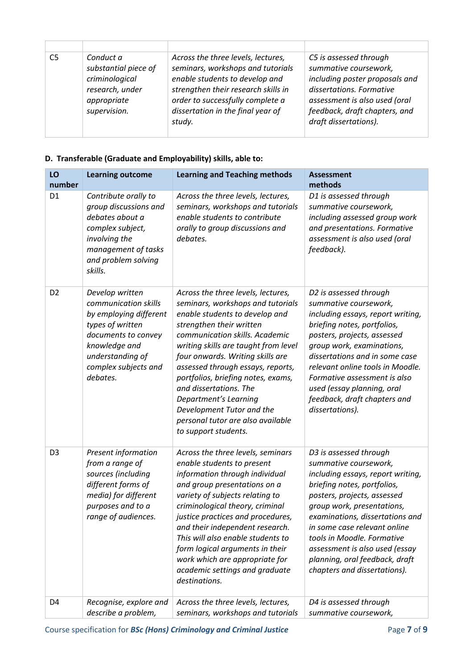| C5 | Conduct a<br>substantial piece of<br>criminological<br>research, under<br>appropriate<br>supervision. | Across the three levels, lectures,<br>seminars, workshops and tutorials<br>enable students to develop and<br>strengthen their research skills in<br>order to successfully complete a<br>dissertation in the final year of<br>study. | C5 is assessed through<br>summative coursework,<br>including poster proposals and<br>dissertations. Formative<br>assessment is also used (oral<br>feedback, draft chapters, and<br>draft dissertations). |
|----|-------------------------------------------------------------------------------------------------------|-------------------------------------------------------------------------------------------------------------------------------------------------------------------------------------------------------------------------------------|----------------------------------------------------------------------------------------------------------------------------------------------------------------------------------------------------------|

#### **D. Transferable (Graduate and Employability) skills, able to:**

| LO<br>number   | <b>Learning outcome</b>                                                                                                                                                               | <b>Learning and Teaching methods</b>                                                                                                                                                                                                                                                                                                                                                                                                                                        | <b>Assessment</b><br>methods                                                                                                                                                                                                                                                                                                                                                          |
|----------------|---------------------------------------------------------------------------------------------------------------------------------------------------------------------------------------|-----------------------------------------------------------------------------------------------------------------------------------------------------------------------------------------------------------------------------------------------------------------------------------------------------------------------------------------------------------------------------------------------------------------------------------------------------------------------------|---------------------------------------------------------------------------------------------------------------------------------------------------------------------------------------------------------------------------------------------------------------------------------------------------------------------------------------------------------------------------------------|
| D <sub>1</sub> | Contribute orally to<br>group discussions and<br>debates about a<br>complex subject,<br>involving the<br>management of tasks<br>and problem solving<br>skills.                        | Across the three levels, lectures,<br>seminars, workshops and tutorials<br>enable students to contribute<br>orally to group discussions and<br>debates.                                                                                                                                                                                                                                                                                                                     | D1 is assessed through<br>summative coursework,<br>including assessed group work<br>and presentations. Formative<br>assessment is also used (oral<br>feedback).                                                                                                                                                                                                                       |
| D <sub>2</sub> | Develop written<br>communication skills<br>by employing different<br>types of written<br>documents to convey<br>knowledge and<br>understanding of<br>complex subjects and<br>debates. | Across the three levels, lectures,<br>seminars, workshops and tutorials<br>enable students to develop and<br>strengthen their written<br>communication skills. Academic<br>writing skills are taught from level<br>four onwards. Writing skills are<br>assessed through essays, reports,<br>portfolios, briefing notes, exams,<br>and dissertations. The<br>Department's Learning<br>Development Tutor and the<br>personal tutor are also available<br>to support students. | D2 is assessed through<br>summative coursework,<br>including essays, report writing,<br>briefing notes, portfolios,<br>posters, projects, assessed<br>group work, examinations,<br>dissertations and in some case<br>relevant online tools in Moodle.<br>Formative assessment is also<br>used (essay planning, oral<br>feedback, draft chapters and<br>dissertations).                |
| D <sub>3</sub> | Present information<br>from a range of<br>sources (including<br>different forms of<br>media) for different<br>purposes and to a<br>range of audiences.                                | Across the three levels, seminars<br>enable students to present<br>information through individual<br>and group presentations on a<br>variety of subjects relating to<br>criminological theory, criminal<br>justice practices and procedures,<br>and their independent research.<br>This will also enable students to<br>form logical arguments in their<br>work which are appropriate for<br>academic settings and graduate<br>destinations.                                | D3 is assessed through<br>summative coursework,<br>including essays, report writing,<br>briefing notes, portfolios,<br>posters, projects, assessed<br>group work, presentations,<br>examinations, dissertations and<br>in some case relevant online<br>tools in Moodle. Formative<br>assessment is also used (essay<br>planning, oral feedback, draft<br>chapters and dissertations). |
| D <sub>4</sub> | Recognise, explore and<br>describe a problem,                                                                                                                                         | Across the three levels, lectures,<br>seminars, workshops and tutorials                                                                                                                                                                                                                                                                                                                                                                                                     | D4 is assessed through<br>summative coursework,                                                                                                                                                                                                                                                                                                                                       |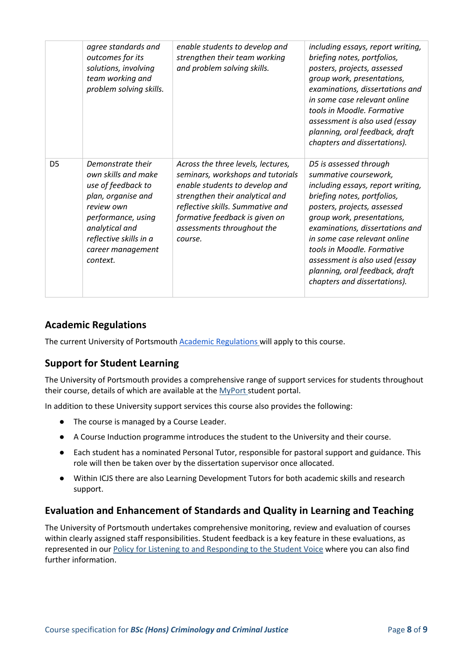|                | agree standards and<br>outcomes for its<br>solutions, involving<br>team working and<br>problem solving skills.                                                                                        | enable students to develop and<br>strengthen their team working<br>and problem solving skills.                                                                                                                                                              | including essays, report writing,<br>briefing notes, portfolios,<br>posters, projects, assessed<br>group work, presentations,<br>examinations, dissertations and<br>in some case relevant online<br>tools in Moodle. Formative<br>assessment is also used (essay<br>planning, oral feedback, draft<br>chapters and dissertations).                                                    |
|----------------|-------------------------------------------------------------------------------------------------------------------------------------------------------------------------------------------------------|-------------------------------------------------------------------------------------------------------------------------------------------------------------------------------------------------------------------------------------------------------------|---------------------------------------------------------------------------------------------------------------------------------------------------------------------------------------------------------------------------------------------------------------------------------------------------------------------------------------------------------------------------------------|
| D <sub>5</sub> | Demonstrate their<br>own skills and make<br>use of feedback to<br>plan, organise and<br>review own<br>performance, using<br>analytical and<br>reflective skills in a<br>career management<br>context. | Across the three levels, lectures,<br>seminars, workshops and tutorials<br>enable students to develop and<br>strengthen their analytical and<br>reflective skills. Summative and<br>formative feedback is given on<br>assessments throughout the<br>course. | D5 is assessed through<br>summative coursework,<br>including essays, report writing,<br>briefing notes, portfolios,<br>posters, projects, assessed<br>group work, presentations,<br>examinations, dissertations and<br>in some case relevant online<br>tools in Moodle. Formative<br>assessment is also used (essay<br>planning, oral feedback, draft<br>chapters and dissertations). |

## **Academic Regulations**

The current University of Portsmouth **Academic Regulations** will apply to this course.

## **Support for Student Learning**

The University of Portsmouth provides a comprehensive range of support services for students throughout their course, details of which are available at the [MyPort](http://myport.ac.uk/) student portal.

In addition to these University support services this course also provides the following:

- The course is managed by a Course Leader.
- A Course Induction programme introduces the student to the University and their course.
- Each student has a nominated Personal Tutor, responsible for pastoral support and guidance. This role will then be taken over by the dissertation supervisor once allocated.
- Within ICJS there are also Learning Development Tutors for both academic skills and research support.

## **Evaluation and Enhancement of Standards and Quality in Learning and Teaching**

The University of Portsmouth undertakes comprehensive monitoring, review and evaluation of courses within clearly assigned staff responsibilities. Student feedback is a key feature in these evaluations, as represented in our [Policy for Listening to and Responding to the Student Voice](http://policies.docstore.port.ac.uk/policy-069.pdf) where you can also find further information.